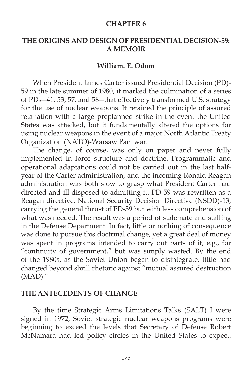#### **CHAPTER 6**

### **THE ORIGINS AND DESIGN OF PRESIDENTIAL DECISION-59: A MEMOIR**

## **William. E. Odom**

 When President James Carter issued Presidential Decision (PD)- 59 in the late summer of 1980, it marked the culmination of a series of PDs―41, 53, 57, and 58―that effectively transformed U.S. strategy for the use of nuclear weapons. It retained the principle of assured retaliation with a large preplanned strike in the event the United States was attacked, but it fundamentally altered the options for using nuclear weapons in the event of a major North Atlantic Treaty Organization (NATO)-Warsaw Pact war.

 The change, of course, was only on paper and never fully implemented in force structure and doctrine. Programmatic and operational adaptations could not be carried out in the last halfyear of the Carter administration, and the incoming Ronald Reagan administration was both slow to grasp what President Carter had directed and ill-disposed to admitting it. PD-59 was rewritten as a Reagan directive, National Security Decision Directive (NSDD)-13, carrying the general thrust of PD-59 but with less comprehension of what was needed. The result was a period of stalemate and stalling in the Defense Department. In fact, little or nothing of consequence was done to pursue this doctrinal change, yet a great deal of money was spent in programs intended to carry out parts of it, e.g., for "continuity of government," but was simply wasted. By the end of the 1980s, as the Soviet Union began to disintegrate, little had changed beyond shrill rhetoric against "mutual assured destruction (MAD)."

#### **THE ANTECEDENTS OF CHANGE**

 By the time Strategic Arms Limitations Talks (SALT) I were signed in 1972, Soviet strategic nuclear weapons programs were beginning to exceed the levels that Secretary of Defense Robert McNamara had led policy circles in the United States to expect.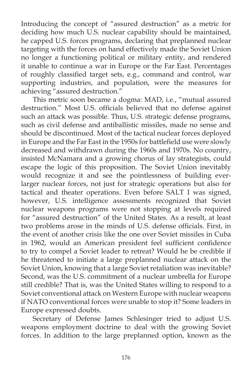Introducing the concept of "assured destruction" as a metric for deciding how much U.S. nuclear capability should be maintained, he capped U.S. forces programs, declaring that preplanned nuclear targeting with the forces on hand effectively made the Soviet Union no longer a functioning political or military entity, and rendered it unable to continue a war in Europe or the Far East. Percentages of roughly classified target sets, e.g., command and control, war supporting industries, and population, were the measures for achieving "assured destruction."

 This metric soon became a dogma: MAD, i.e., "mutual assured destruction." Most U.S. officials believed that no defense against such an attack was possible. Thus, U.S. strategic defense programs, such as civil defense and antiballistic missiles, made no sense and should be discontinued. Most of the tactical nuclear forces deployed in Europe and the Far East in the 1950s for battlefield use were slowly decreased and withdrawn during the 1960s and 1970s. No country, insisted McNamara and a growing chorus of lay strategists, could escape the logic of this proposition. The Soviet Union inevitably would recognize it and see the pointlessness of building everlarger nuclear forces, not just for strategic operations but also for tactical and theater operations. Even before SALT I was signed, however, U.S. intelligence assessments recognized that Soviet nuclear weapons programs were not stopping at levels required for "assured destruction" of the United States. As a result, at least two problems arose in the minds of U.S. defense officials. First, in the event of another crisis like the one over Soviet missiles in Cuba in 1962, would an American president feel sufficient confidence to try to compel a Soviet leader to retreat? Would he be credible if he threatened to initiate a large preplanned nuclear attack on the Soviet Union, knowing that a large Soviet retaliation was inevitable? Second, was the U.S. commitment of a nuclear umbrella for Europe still credible? That is, was the United States willing to respond to a Soviet conventional attack on Western Europe with nuclear weapons if NATO conventional forces were unable to stop it? Some leaders in Europe expressed doubts.

 Secretary of Defense James Schlesinger tried to adjust U.S. weapons employment doctrine to deal with the growing Soviet forces. In addition to the large preplanned option, known as the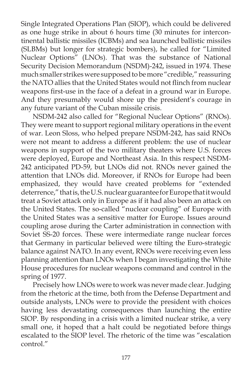Single Integrated Operations Plan (SIOP), which could be delivered as one huge strike in about 6 hours time (30 minutes for intercontinental ballistic missiles (ICBMs) and sea launched ballistic missiles (SLBMs) but longer for strategic bombers), he called for "Limited Nuclear Options" (LNOs). That was the substance of National Security Decision Memorandum (NSDM)-242, issued in 1974. These much smaller strikes were supposed to be more "credible," reassuring the NATO allies that the United States would not flinch from nuclear weapons first-use in the face of a defeat in a ground war in Europe. And they presumably would shore up the president's courage in any future variant of the Cuban missile crisis.

 NSDM-242 also called for "Regional Nuclear Options" (RNOs). They were meant to support regional military operations in the event of war. Leon Sloss, who helped prepare NSDM-242, has said RNOs were not meant to address a different problem: the use of nuclear weapons in support of the two military theaters where U.S. forces were deployed, Europe and Northeast Asia. In this respect NSDM-242 anticipated PD-59, but LNOs did not. RNOs never gained the attention that LNOs did. Moreover, if RNOs for Europe had been emphasized, they would have created problems for "extended deterrence," that is, the U.S. nuclear guarantee for Europe that it would treat a Soviet attack only in Europe as if it had also been an attack on the United States. The so-called "nuclear coupling" of Europe with the United States was a sensitive matter for Europe. Issues around coupling arose during the Carter administration in connection with Soviet SS-20 forces. These were intermediate range nuclear forces that Germany in particular believed were tilting the Euro-strategic balance against NATO. In any event, RNOs were receiving even less planning attention than LNOs when I began investigating the White House procedures for nuclear weapons command and control in the spring of 1977.

 Precisely how LNOs were to work was never made clear. Judging from the rhetoric at the time, both from the Defense Department and outside analysts, LNOs were to provide the president with choices having less devastating consequences than launching the entire SIOP. By responding in a crisis with a limited nuclear strike, a very small one, it hoped that a halt could be negotiated before things escalated to the SIOP level. The rhetoric of the time was "escalation control."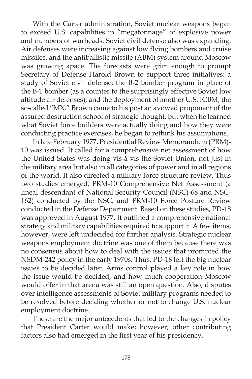With the Carter administration, Soviet nuclear weapons began to exceed U.S. capabilities in "megatonnage" of explosive power and numbers of warheads. Soviet civil defense also was expanding. Air defenses were increasing against low flying bombers and cruise missiles, and the antiballistic missile (ABM) system around Moscow was growing apace. The forecasts were grim enough to prompt Secretary of Defense Harold Brown to support three initiatives: a study of Soviet civil defense; the B-2 bomber program in place of the B-1 bomber (as a counter to the surprisingly effective Soviet low altitude air defenses); and the deployment of another U.S. ICBM, the so-called "MX." Brown came to his post an avowed proponent of the assured destruction school of strategic thought, but when he learned what Soviet force builders were actually doing and how they were conducting practice exercises, he began to rethink his assumptions.

 In late February 1977, Presidential Review Memorandum (PRM)- 10 was issued. It called for a comprehensive net assessment of how the United States was doing vis-à-vis the Soviet Union, not just in the military area but also in all categories of power and in all regions of the world. It also directed a military force structure review. Thus two studies emerged, PRM-10 Comprehensive Net Assessment (a lineal descendant of National Security Council (NSC)-68 and NSC-162) conducted by the NSC, and PRM-10 Force Posture Review conducted in the Defense Department. Based on these studies, PD-18 was approved in August 1977. It outlined a comprehensive national strategy and military capabilities required to support it. A few items, however, were left undecided for further analysis. Strategic nuclear weapons employment doctrine was one of them because there was no consensus about how to deal with the issues that prompted the NSDM-242 policy in the early 1970s. Thus, PD-18 left the big nuclear issues to be decided later. Arms control played a key role in how the issue would be decided, and how much cooperation Moscow would offer in that arena was still an open question. Also, disputes over intelligence assessments of Soviet military programs needed to be resolved before deciding whether or not to change U.S. nuclear employment doctrine.

 These are the major antecedents that led to the changes in policy that President Carter would make; however, other contributing factors also had emerged in the first year of his presidency.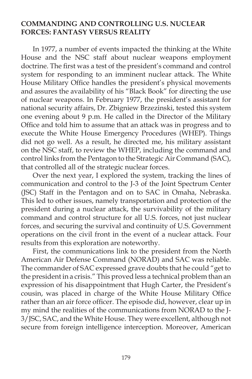### **COMMANDING AND CONTROLLING U.S. NUCLEAR FORCES: FANTASY VERSUS REALITY**

 In 1977, a number of events impacted the thinking at the White House and the NSC staff about nuclear weapons employment doctrine. The first was a test of the president's command and control system for responding to an imminent nuclear attack. The White House Military Office handles the president's physical movements and assures the availability of his "Black Book" for directing the use of nuclear weapons. In February 1977, the president's assistant for national security affairs, Dr. Zbigniew Brzezinski, tested this system one evening about 9 p.m. He called in the Director of the Military Office and told him to assume that an attack was in progress and to execute the White House Emergency Procedures (WHEP). Things did not go well. As a result, he directed me, his military assistant on the NSC staff, to review the WHEP, including the command and control links from the Pentagon to the Strategic Air Command (SAC), that controlled all of the strategic nuclear forces.

 Over the next year, I explored the system, tracking the lines of communication and control to the J-3 of the Joint Spectrum Center (JSC) Staff in the Pentagon and on to SAC in Omaha, Nebraska. This led to other issues, namely transportation and protection of the president during a nuclear attack, the survivability of the military command and control structure for all U.S. forces, not just nuclear forces, and securing the survival and continuity of U.S. Government operations on the civil front in the event of a nuclear attack. Four results from this exploration are noteworthy.

 First, the communications link to the president from the North American Air Defense Command (NORAD) and SAC was reliable. The commander of SAC expressed grave doubts that he could "get to the president in a crisis." This proved less a technical problem than an expression of his disappointment that Hugh Carter, the President's cousin, was placed in charge of the White House Military Office rather than an air force officer. The episode did, however, clear up in my mind the realities of the communications from NORAD to the J-3/JSC, SAC, and the White House. They were excellent, although not secure from foreign intelligence interception. Moreover, American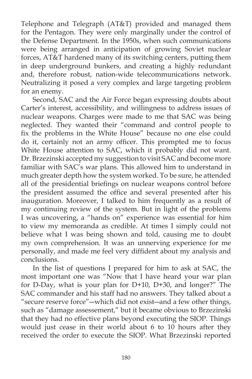Telephone and Telegraph (AT&T) provided and managed them for the Pentagon. They were only marginally under the control of the Defense Department. In the 1950s, when such communications were being arranged in anticipation of growing Soviet nuclear forces, AT&T hardened many of its switching centers, putting them in deep underground bunkers, and creating a highly redundant and, therefore robust, nation-wide telecommunications network. Neutralizing it posed a very complex and large targeting problem for an enemy.

 Second, SAC and the Air Force began expressing doubts about Carter's interest, accessibility, and willingness to address issues of nuclear weapons. Charges were made to me that SAC was being neglected. They wanted their "command and control people to fix the problems in the White House" because no one else could do it, certainly not an army officer. This prompted me to focus White House attention to SAC, which it probably did not want. Dr. Brzezinski accepted my suggestion to visit SAC and become more familiar with SAC's war plans. This allowed him to understand in much greater depth how the system worked. To be sure, he attended all of the presidential briefings on nuclear weapons control before the president assumed the office and several presented after his inauguration. Moreover, I talked to him frequently as a result of my continuing review of the system. But in light of the problems I was uncovering, a "hands on" experience was essential for him to view my memoranda as credible. At times I simply could not believe what I was being shown and told, causing me to doubt my own comprehension. It was an unnerving experience for me personally, and made me feel very diffident about my analysis and conclusions.

 In the list of questions I prepared for him to ask at SAC, the most important one was "Now that I have heard your war plan for D-Day, what is your plan for D+10, D+30, and longer?" The SAC commander and his staff had no answers. They talked about a "secure reserve force"―which did not exist―and a few other things, such as "damage assessement," but it became obvious to Brzezinski that they had no effective plans beyond executing the SIOP. Things would just cease in their world about 6 to 10 hours after they received the order to execute the SIOP. What Brzezinski reported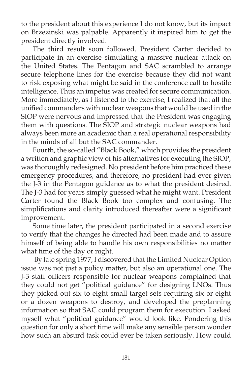to the president about this experience I do not know, but its impact on Brzezinski was palpable. Apparently it inspired him to get the president directly involved.

 The third result soon followed. President Carter decided to participate in an exercise simulating a massive nuclear attack on the United States. The Pentagon and SAC scrambled to arrange secure telephone lines for the exercise because they did not want to risk exposing what might be said in the conference call to hostile intelligence. Thus an impetus was created for secure communication. More immediately, as I listened to the exercise, I realized that all the unified commanders with nuclear weapons that would be used in the SIOP were nervous and impressed that the President was engaging them with questions. The SIOP and strategic nuclear weapons had always been more an academic than a real operational responsibility in the minds of all but the SAC commander.

 Fourth, the so-called "Black Book," which provides the president a written and graphic view of his alternatives for executing the SIOP, was thoroughly redesigned. No president before him practiced these emergency procedures, and therefore, no president had ever given the J-3 in the Pentagon guidance as to what the president desired. The J-3 had for years simply guessed what he might want. President Carter found the Black Book too complex and confusing. The simplifications and clarity introduced thereafter were a significant improvement.

 Some time later, the president participated in a second exercise to verify that the changes he directed had been made and to assure himself of being able to handle his own responsibilities no matter what time of the day or night.

 By late spring 1977, I discovered that the Limited Nuclear Option issue was not just a policy matter, but also an operational one. The J-3 staff officers responsible for nuclear weapons complained that they could not get "political guidance" for designing LNOs. Thus they picked out six to eight small target sets requiring six or eight or a dozen weapons to destroy, and developed the preplanning information so that SAC could program them for execution. I asked myself what "political guidance" would look like. Pondering this question for only a short time will make any sensible person wonder how such an absurd task could ever be taken seriously. How could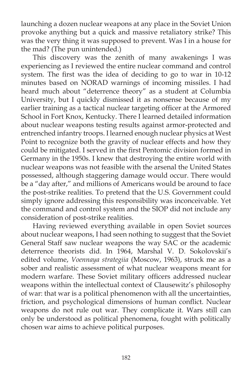launching a dozen nuclear weapons at any place in the Soviet Union provoke anything but a quick and massive retaliatory strike? This was the very thing it was supposed to prevent. Was I in a house for the mad? (The pun unintended.)

 This discovery was the zenith of many awakenings I was experiencing as I reviewed the entire nuclear command and control system. The first was the idea of deciding to go to war in 10-12 minutes based on NORAD warnings of incoming missiles. I had heard much about "deterrence theory" as a student at Columbia University, but I quickly dismissed it as nonsense because of my earlier training as a tactical nuclear targeting officer at the Armored School in Fort Knox, Kentucky. There I learned detailed information about nuclear weapons testing results against armor-protected and entrenched infantry troops. I learned enough nuclear physics at West Point to recognize both the gravity of nuclear effects and how they could be mitigated. I served in the first Pentomic division formed in Germany in the 1950s. I knew that destroying the entire world with nuclear weapons was not feasible with the arsenal the United States possessed, although staggering damage would occur. There would be a "day after," and millions of Americans would be around to face the post-strike realities. To pretend that the U.S. Government could simply ignore addressing this responsibility was inconceivable. Yet the command and control system and the SIOP did not include any consideration of post-strike realities.

 Having reviewed everything available in open Soviet sources about nuclear weapons, I had seen nothing to suggest that the Soviet General Staff saw nuclear weapons the way SAC or the academic deterrence theorists did. In 1964, Marshal V. D. Sokolovskii's edited volume, *Voennaya strategiia* (Moscow, 1963), struck me as a sober and realistic assessment of what nuclear weapons meant for modern warfare. These Soviet military officers addressed nuclear weapons within the intellectual context of Clausewitz's philosophy of war: that war is a political phenomenon with all the uncertainties, friction, and psychological dimensions of human conflict. Nuclear weapons do not rule out war. They complicate it. Wars still can only be understood as political phenomena, fought with politically chosen war aims to achieve political purposes.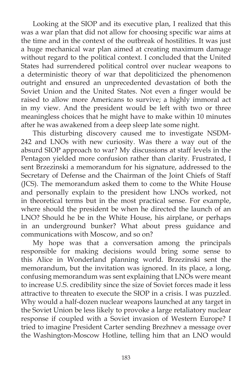Looking at the SIOP and its executive plan, I realized that this was a war plan that did not allow for choosing specific war aims at the time and in the context of the outbreak of hostilities. It was just a huge mechanical war plan aimed at creating maximum damage without regard to the political context. I concluded that the United States had surrendered political control over nuclear weapons to a deterministic theory of war that depoliticized the phenomenon outright and ensured an unprecedented devastation of both the Soviet Union and the United States. Not even a finger would be raised to allow more Americans to survive; a highly immoral act in my view. And the president would be left with two or three meaningless choices that he might have to make within 10 minutes after he was awakened from a deep sleep late some night.

 This disturbing discovery caused me to investigate NSDM-242 and LNOs with new curiosity. Was there a way out of the absurd SIOP approach to war? My discussions at staff levels in the Pentagon yielded more confusion rather than clarity. Frustrated, I sent Brzezinski a memorandum for his signature, addressed to the Secretary of Defense and the Chairman of the Joint Chiefs of Staff (JCS). The memorandum asked them to come to the White House and personally explain to the president how LNOs worked, not in theoretical terms but in the most practical sense. For example, where should the president be when he directed the launch of an LNO? Should he be in the White House, his airplane, or perhaps in an underground bunker? What about press guidance and communications with Moscow, and so on?

 My hope was that a conversation among the principals responsible for making decisions would bring some sense to this Alice in Wonderland planning world. Brzezinski sent the memorandum, but the invitation was ignored. In its place, a long, confusing memorandum was sent explaining that LNOs were meant to increase U.S. credibility since the size of Soviet forces made it less attractive to threaten to execute the SIOP in a crisis. I was puzzled. Why would a half-dozen nuclear weapons launched at any target in the Soviet Union be less likely to provoke a large retaliatory nuclear response if coupled with a Soviet invasion of Western Europe? I tried to imagine President Carter sending Brezhnev a message over the Washington-Moscow Hotline, telling him that an LNO would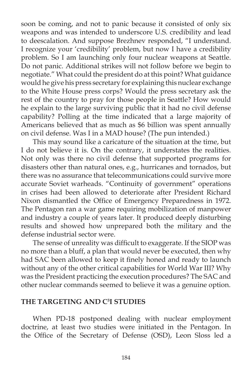soon be coming, and not to panic because it consisted of only six weapons and was intended to underscore U.S. credibility and lead to deescalation. And suppose Brezhnev responded, "I understand. I recognize your 'credibility' problem, but now I have a credibility problem. So I am launching only four nuclear weapons at Seattle. Do not panic. Additional strikes will not follow before we begin to negotiate." What could the president do at this point? What guidance would he give his press secretary for explaining this nuclear exchange to the White House press corps? Would the press secretary ask the rest of the country to pray for those people in Seattle? How would he explain to the large surviving public that it had no civil defense capability? Polling at the time indicated that a large majority of Americans believed that as much as \$6 billion was spent annually on civil defense. Was I in a MAD house? (The pun intended.)

 This may sound like a caricature of the situation at the time, but I do not believe it is. On the contrary, it understates the realities. Not only was there no civil defense that supported programs for disasters other than natural ones, e.g., hurricanes and tornados, but there was no assurance that telecommunications could survive more accurate Soviet warheads. "Continuity of government" operations in crises had been allowed to deteriorate after President Richard Nixon dismantled the Office of Emergency Preparedness in 1972. The Pentagon ran a war game requiring mobilization of manpower and industry a couple of years later. It produced deeply disturbing results and showed how unprepared both the military and the defense industrial sector were.

The sense of unreality was difficult to exaggerate. If the SIOP was no more than a bluff, a plan that would never be executed, then why had SAC been allowed to keep it finely honed and ready to launch without any of the other critical capabilities for World War III? Why was the President practicing the execution procedures? The SAC and other nuclear commands seemed to believe it was a genuine option.

### **THE TARGETING AND C3 I STUDIES**

 When PD-18 postponed dealing with nuclear employment doctrine, at least two studies were initiated in the Pentagon. In the Office of the Secretary of Defense (OSD), Leon Sloss led a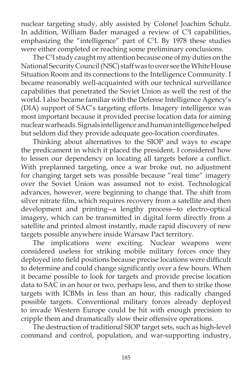nuclear targeting study, ably assisted by Colonel Joachim Schulz. In addition, William Bader managed a review of  $C<sup>3</sup>$ I capabilities, emphasizing the "intelligence" part of  $C<sup>3</sup>$ . By 1978 these studies were either completed or reaching some preliminary conclusions.

The C<sup>3</sup>I study caught my attention because one of my duties on the National Security Council (NSC) staff was to over see the White House Situation Room and its connections to the Intelligence Community. I became reasonably well-acquainted with our technical surveillance capabilities that penetrated the Soviet Union as well the rest of the world. I also became familiar with the Defense Intelligence Agency's (DIA) support of SAC's targeting efforts. Imagery intelligence was most important because it provided precise location data for aiming nuclear warheads. Signals intelligence and human intelligence helped but seldom did they provide adequate geo-location coordinates.

 Thinking about alternatives to the SIOP and ways to escape the predicament in which it placed the president, I considered how to lessen our dependency on locating all targets before a conflict. With preplanned targeting, once a war broke out, no adjustment for changing target sets was possible because "real time" imagery over the Soviet Union was assumed not to exist. Technological advances, however, were beginning to change that. The shift from silver nitrate film, which requires recovery from a satellite and then development and printing―a lengthy process―to electro-optical imagery, which can be transmitted in digital form directly from a satellite and printed almost instantly, made rapid discovery of new targets possible anywhere inside Warsaw Pact territory.

 The implications were exciting. Nuclear weapons were considered useless for striking mobile military forces once they deployed into field positions because precise locations were difficult to determine and could change significantly over a few hours. When it became possible to look for targets and provide precise location data to SAC in an hour or two, perhaps less, and then to strike those targets with ICBMs in less than an hour, this radically changed possible targets. Conventional military forces already deployed to invade Western Europe could be hit with enough precision to cripple them and dramatically slow their offensive operations.

 The destruction of traditional SIOP target sets, such as high-level command and control, population, and war-supporting industry,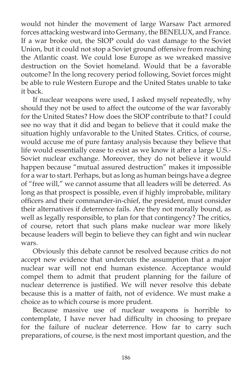would not hinder the movement of large Warsaw Pact armored forces attacking westward into Germany, the BENELUX, and France. If a war broke out, the SIOP could do vast damage to the Soviet Union, but it could not stop a Soviet ground offensive from reaching the Atlantic coast. We could lose Europe as we wreaked massive destruction on the Soviet homeland. Would that be a favorable outcome? In the long recovery period following, Soviet forces might be able to rule Western Europe and the United States unable to take it back.

 If nuclear weapons were used, I asked myself repeatedly, why should they not be used to affect the outcome of the war favorably for the United States? How does the SIOP contribute to that? I could see no way that it did and began to believe that it could make the situation highly unfavorable to the United States. Critics, of course, would accuse me of pure fantasy analysis because they believe that life would essentially cease to exist as we know it after a large U.S.- Soviet nuclear exchange. Moreover, they do not believe it would happen because "mutual assured destruction" makes it impossible for a war to start. Perhaps, but as long as human beings have a degree of "free will," we cannot assume that all leaders will be deterred. As long as that prospect is possible, even if highly improbable, military officers and their commander-in-chief, the president, must consider their alternatives if deterrence fails. Are they not morally bound, as well as legally responsible, to plan for that contingency? The critics, of course, retort that such plans make nuclear war more likely because leaders will begin to believe they can fight and win nuclear wars.

 Obviously this debate cannot be resolved because critics do not accept new evidence that undercuts the assumption that a major nuclear war will not end human existence. Acceptance would compel them to admit that prudent planning for the failure of nuclear deterrence is justified. We will never resolve this debate because this is a matter of faith, not of evidence. We must make a choice as to which course is more prudent.

 Because massive use of nuclear weapons is horrible to contemplate, I have never had difficulty in choosing to prepare for the failure of nuclear deterrence. How far to carry such preparations, of course, is the next most important question, and the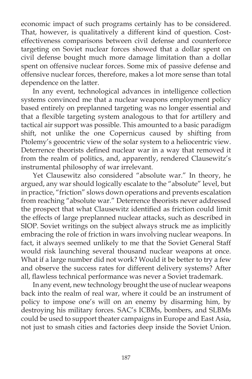economic impact of such programs certainly has to be considered. That, however, is qualitatively a different kind of question. Costeffectiveness comparisons between civil defense and counterforce targeting on Soviet nuclear forces showed that a dollar spent on civil defense bought much more damage limitation than a dollar spent on offensive nuclear forces. Some mix of passive defense and offensive nuclear forces, therefore, makes a lot more sense than total dependence on the latter.

 In any event, technological advances in intelligence collection systems convinced me that a nuclear weapons employment policy based entirely on preplanned targeting was no longer essential and that a flexible targeting system analogous to that for artillery and tactical air support was possible. This amounted to a basic paradigm shift, not unlike the one Copernicus caused by shifting from Ptolemy's geocentric view of the solar system to a heliocentric view. Deterrence theorists defined nuclear war in a way that removed it from the realm of politics, and, apparently, rendered Clausewitz's instrumental philosophy of war irrelevant.

 Yet Clausewitz also considered "absolute war." In theory, he argued, any war should logically escalate to the "absolute" level, but in practice, "friction" slows down operations and prevents escalation from reaching "absolute war." Deterrence theorists never addressed the prospect that what Clausewitz identified as friction could limit the effects of large preplanned nuclear attacks, such as described in SIOP. Soviet writings on the subject always struck me as implicitly embracing the role of friction in wars involving nuclear weapons. In fact, it always seemed unlikely to me that the Soviet General Staff would risk launching several thousand nuclear weapons at once. What if a large number did not work? Would it be better to try a few and observe the success rates for different delivery systems? After all, flawless technical performance was never a Soviet trademark.

 In any event, new technology brought the use of nuclear weapons back into the realm of real war, where it could be an instrument of policy to impose one's will on an enemy by disarming him, by destroying his military forces. SAC's ICBMs, bombers, and SLBMs could be used to support theater campaigns in Europe and East Asia, not just to smash cities and factories deep inside the Soviet Union.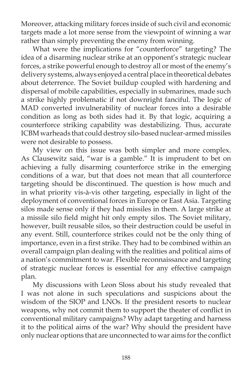Moreover, attacking military forces inside of such civil and economic targets made a lot more sense from the viewpoint of winning a war rather than simply preventing the enemy from winning.

 What were the implications for "counterforce" targeting? The idea of a disarming nuclear strike at an opponent's strategic nuclear forces, a strike powerful enough to destroy all or most of the enemy's delivery systems, always enjoyed a central place in theoretical debates about deterrence. The Soviet buildup coupled with hardening and dispersal of mobile capabilities, especially in submarines, made such a strike highly problematic if not downright fanciful. The logic of MAD converted invulnerability of nuclear forces into a desirable condition as long as both sides had it. By that logic, acquiring a counterforce striking capability was destabilizing. Thus, accurate ICBM warheads that could destroy silo-based nuclear-armed missiles were not desirable to possess.

 My view on this issue was both simpler and more complex. As Clausewitz said, "war is a gamble." It is imprudent to bet on achieving a fully disarming counterforce strike in the emerging conditions of a war, but that does not mean that all counterforce targeting should be discontinued. The question is how much and in what priority vis-à-vis other targeting, especially in light of the deployment of conventional forces in Europe or East Asia. Targeting silos made sense only if they had missiles in them. A large strike at a missile silo field might hit only empty silos. The Soviet military, however, built reusable silos, so their destruction could be useful in any event. Still, counterforce strikes could not be the only thing of importance, even in a first strike. They had to be combined within an overall campaign plan dealing with the realities and political aims of a nation's commitment to war. Flexible reconnaissance and targeting of strategic nuclear forces is essential for any effective campaign plan.

 My discussions with Leon Sloss about his study revealed that I was not alone in such speculations and suspicions about the wisdom of the SIOP and LNOs. If the president resorts to nuclear weapons, why not commit them to support the theater of conflict in conventional military campaigns? Why adapt targeting and harness it to the political aims of the war? Why should the president have only nuclear options that are unconnected to war aims for the conflict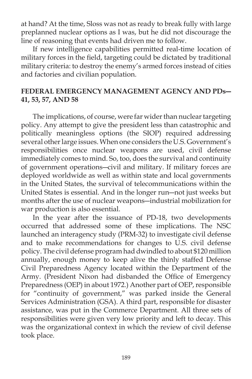at hand? At the time, Sloss was not as ready to break fully with large preplanned nuclear options as I was, but he did not discourage the line of reasoning that events had driven me to follow.

 If new intelligence capabilities permitted real-time location of military forces in the field, targeting could be dictated by traditional military criteria: to destroy the enemy's armed forces instead of cities and factories and civilian population.

# **FEDERAL EMERGENCY MANAGEMENT AGENCY AND PDs― 41, 53, 57, AND 58**

 The implications, of course, were far wider than nuclear targeting policy. Any attempt to give the president less than catastrophic and politically meaningless options (the SIOP) required addressing several other large issues. When one considers the U.S. Government's responsibilities once nuclear weapons are used, civil defense immediately comes to mind. So, too, does the survival and continuity of government operations―civil and military. If military forces are deployed worldwide as well as within state and local governments in the United States, the survival of telecommunications within the United States is essential. And in the longer run―not just weeks but months after the use of nuclear weapons―industrial mobilization for war production is also essential.

 In the year after the issuance of PD-18, two developments occurred that addressed some of these implications. The NSC launched an interagency study (PRM-32) to investigate civil defense and to make recommendations for changes to U.S. civil defense policy. The civil defense program had dwindled to about \$120 million annually, enough money to keep alive the thinly staffed Defense Civil Preparedness Agency located within the Department of the Army. (President Nixon had disbanded the Office of Emergency Preparedness (OEP) in about 1972.) Another part of OEP, responsible for "continuity of government," was parked inside the General Services Administration (GSA). A third part, responsible for disaster assistance, was put in the Commerce Department. All three sets of responsibilities were given very low priority and left to decay. This was the organizational context in which the review of civil defense took place.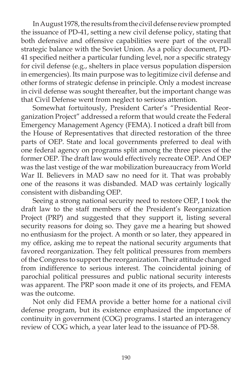In August 1978, the results from the civil defense review prompted the issuance of PD-41, setting a new civil defense policy, stating that both defensive and offensive capabilities were part of the overall strategic balance with the Soviet Union. As a policy document, PD-41 specified neither a particular funding level, nor a specific strategy for civil defense (e.g., shelters in place versus population dispersion in emergencies). Its main purpose was to legitimize civil defense and other forms of strategic defense in principle. Only a modest increase in civil defense was sought thereafter, but the important change was that Civil Defense went from neglect to serious attention.

 Somewhat fortuitously, President Carter's "Presidential Reorganization Project" addressed a reform that would create the Federal Emergency Management Agency (FEMA). I noticed a draft bill from the House of Representatives that directed restoration of the three parts of OEP. State and local governments preferred to deal with one federal agency on programs split among the three pieces of the former OEP. The draft law would effectively recreate OEP. And OEP was the last vestige of the war mobilization bureaucracy from World War II. Believers in MAD saw no need for it. That was probably one of the reasons it was disbanded. MAD was certainly logically consistent with disbanding OEP.

 Seeing a strong national security need to restore OEP, I took the draft law to the staff members of the President's Reorganization Project (PRP) and suggested that they support it, listing several security reasons for doing so. They gave me a hearing but showed no enthusiasm for the project. A month or so later, they appeared in my office, asking me to repeat the national security arguments that favored reorganization. They felt political pressures from members of the Congress to support the reorganization. Their attitude changed from indifference to serious interest. The coincidental joining of parochial political pressures and public national security interests was apparent. The PRP soon made it one of its projects, and FEMA was the outcome.

 Not only did FEMA provide a better home for a national civil defense program, but its existence emphasized the importance of continuity in government (COG) programs. I started an interagency review of COG which, a year later lead to the issuance of PD-58.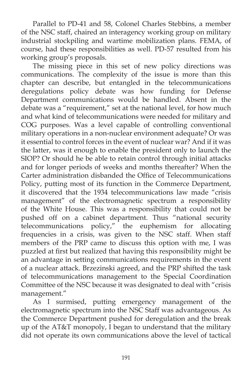Parallel to PD-41 and 58, Colonel Charles Stebbins, a member of the NSC staff, chaired an interagency working group on military industrial stockpiling and wartime mobilization plans. FEMA, of course, had these responsibilities as well. PD-57 resulted from his working group's proposals.

 The missing piece in this set of new policy directions was communications. The complexity of the issue is more than this chapter can describe, but entangled in the telecommunications deregulations policy debate was how funding for Defense Department communications would be handled. Absent in the debate was a "requirement," set at the national level, for how much and what kind of telecommunications were needed for military and COG purposes. Was a level capable of controlling conventional military operations in a non-nuclear environment adequate? Or was it essential to control forces in the event of nuclear war? And if it was the latter, was it enough to enable the president only to launch the SIOP? Or should he be able to retain control through initial attacks and for longer periods of weeks and months thereafter? When the Carter administration disbanded the Office of Telecommunications Policy, putting most of its function in the Commerce Department, it discovered that the 1934 telecommunications law made "crisis management" of the electromagnetic spectrum a responsibility of the White House. This was a responsibility that could not be pushed off on a cabinet department. Thus "national security telecommunications policy," the euphemism for allocating frequencies in a crisis, was given to the NSC staff. When staff members of the PRP came to discuss this option with me, I was puzzled at first but realized that having this responsibility might be an advantage in setting communications requirements in the event of a nuclear attack. Brzezinski agreed, and the PRP shifted the task of telecommunications management to the Special Coordination Committee of the NSC because it was designated to deal with "crisis management."

 As I surmised, putting emergency management of the electromagnetic spectrum into the NSC Staff was advantageous. As the Commerce Department pushed for deregulation and the break up of the AT&T monopoly, I began to understand that the military did not operate its own communications above the level of tactical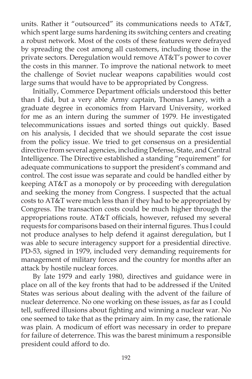units. Rather it "outsourced" its communications needs to AT&T, which spent large sums hardening its switching centers and creating a robust network. Most of the costs of these features were defrayed by spreading the cost among all customers, including those in the private sectors. Deregulation would remove AT&T's power to cover the costs in this manner. To improve the national network to meet the challenge of Soviet nuclear weapons capabilities would cost large sums that would have to be appropriated by Congress.

Initially, Commerce Department officials understood this better than I did, but a very able Army captain, Thomas Laney, with a graduate degree in economics from Harvard University, worked for me as an intern during the summer of 1979. He investigated telecommunications issues and sorted things out quickly. Based on his analysis, I decided that we should separate the cost issue from the policy issue. We tried to get consensus on a presidential directive from several agencies, including Defense, State, and Central Intelligence. The Directive established a standing "requirement" for adequate communications to support the president's command and control. The cost issue was separate and could be handled either by keeping AT&T as a monopoly or by proceeding with deregulation and seeking the money from Congress. I suspected that the actual costs to AT&T were much less than if they had to be appropriated by Congress. The transaction costs could be much higher through the appropriations route. AT&T officials, however, refused my several requests for comparisons based on their internal figures. Thus I could not produce analyses to help defend it against deregulation, but I was able to secure interagency support for a presidential directive. PD-53, signed in 1979, included very demanding requirements for management of military forces and the country for months after an attack by hostile nuclear forces.

 By late 1979 and early 1980, directives and guidance were in place on all of the key fronts that had to be addressed if the United States was serious about dealing with the advent of the failure of nuclear deterrence. No one working on these issues, as far as I could tell, suffered illusions about fighting and winning a nuclear war. No one seemed to take that as the primary aim. In my case, the rationale was plain. A modicum of effort was necessary in order to prepare for failure of deterrence. This was the barest minimum a responsible president could afford to do.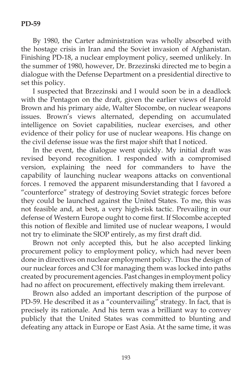By 1980, the Carter administration was wholly absorbed with the hostage crisis in Iran and the Soviet invasion of Afghanistan. Finishing PD-18, a nuclear employment policy, seemed unlikely. In the summer of 1980, however, Dr. Brzezinski directed me to begin a dialogue with the Defense Department on a presidential directive to set this policy.

 I suspected that Brzezinski and I would soon be in a deadlock with the Pentagon on the draft, given the earlier views of Harold Brown and his primary aide, Walter Slocombe, on nuclear weapons issues. Brown's views alternated, depending on accumulated intelligence on Soviet capabilities, nuclear exercises, and other evidence of their policy for use of nuclear weapons. His change on the civil defense issue was the first major shift that I noticed.

 In the event, the dialogue went quickly. My initial draft was revised beyond recognition. I responded with a compromised version, explaining the need for commanders to have the capability of launching nuclear weapons attacks on conventional forces. I removed the apparent misunderstanding that I favored a "counterforce" strategy of destroying Soviet strategic forces before they could be launched against the United States. To me, this was not feasible and, at best, a very high-risk tactic. Prevailing in our defense of Western Europe ought to come first. If Slocombe accepted this notion of flexible and limited use of nuclear weapons, I would not try to eliminate the SIOP entirely, as my first draft did.

 Brown not only accepted this, but he also accepted linking procurement policy to employment policy, which had never been done in directives on nuclear employment policy. Thus the design of our nuclear forces and C3I for managing them was locked into paths created by procurement agencies. Past changes in employment policy had no affect on procurement, effectively making them irrelevant.

 Brown also added an important description of the purpose of PD-59. He described it as a "countervailing" strategy. In fact, that is precisely its rationale. And his term was a brilliant way to convey publicly that the United States was committed to blunting and defeating any attack in Europe or East Asia. At the same time, it was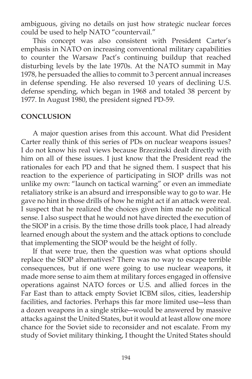ambiguous, giving no details on just how strategic nuclear forces could be used to help NATO "countervail."

 This concept was also consistent with President Carter's emphasis in NATO on increasing conventional military capabilities to counter the Warsaw Pact's continuing buildup that reached disturbing levels by the late 1970s. At the NATO summit in May 1978, he persuaded the allies to commit to 3 percent annual increases in defense spending. He also reversed 10 years of declining U.S. defense spending, which began in 1968 and totaled 38 percent by 1977. In August 1980, the president signed PD-59.

### **CONCLUSION**

 A major question arises from this account. What did President Carter really think of this series of PDs on nuclear weapons issues? I do not know his real views because Brzezinski dealt directly with him on all of these issues. I just know that the President read the rationales for each PD and that he signed them. I suspect that his reaction to the experience of participating in SIOP drills was not unlike my own: "launch on tactical warning" or even an immediate retaliatory strike is an absurd and irresponsible way to go to war. He gave no hint in those drills of how he might act if an attack were real. I suspect that he realized the choices given him made no political sense. I also suspect that he would not have directed the execution of the SIOP in a crisis. By the time those drills took place, I had already learned enough about the system and the attack options to conclude that implementing the SIOP would be the height of folly.

 If that were true, then the question was what options should replace the SIOP alternatives? There was no way to escape terrible consequences, but if one were going to use nuclear weapons, it made more sense to aim them at military forces engaged in offensive operations against NATO forces or U.S. and allied forces in the Far East than to attack empty Soviet ICBM silos, cities, leadership facilities, and factories. Perhaps this far more limited use―less than a dozen weapons in a single strike―would be answered by massive attacks against the United States, but it would at least allow one more chance for the Soviet side to reconsider and not escalate. From my study of Soviet military thinking, I thought the United States should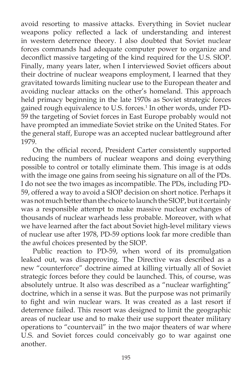avoid resorting to massive attacks. Everything in Soviet nuclear weapons policy reflected a lack of understanding and interest in western deterrence theory. I also doubted that Soviet nuclear forces commands had adequate computer power to organize and deconflict massive targeting of the kind required for the U.S. SIOP. Finally, many years later, when I interviewed Soviet officers about their doctrine of nuclear weapons employment, I learned that they gravitated towards limiting nuclear use to the European theater and avoiding nuclear attacks on the other's homeland. This approach held primacy beginning in the late 1970s as Soviet strategic forces gained rough equivalence to U.S. forces.<sup>1</sup> In other words, under PD-59 the targeting of Soviet forces in East Europe probably would not have prompted an immediate Soviet strike on the United States. For the general staff, Europe was an accepted nuclear battleground after 1979.

On the official record, President Carter consistently supported reducing the numbers of nuclear weapons and doing everything possible to control or totally eliminate them. This image is at odds with the image one gains from seeing his signature on all of the PDs. I do not see the two images as incompatible. The PDs, including PD-59, offered a way to avoid a SIOP decision on short notice. Perhaps it was not much better than the choice to launch the SIOP, but it certainly was a responsible attempt to make massive nuclear exchanges of thousands of nuclear warheads less probable. Moreover, with what we have learned after the fact about Soviet high-level military views of nuclear use after 1978, PD-59 options look far more credible than the awful choices presented by the SIOP.

 Public reaction to PD-59, when word of its promulgation leaked out, was disapproving. The Directive was described as a new "counterforce" doctrine aimed at killing virtually all of Soviet strategic forces before they could be launched. This, of course, was absolutely untrue. It also was described as a "nuclear warfighting" doctrine, which in a sense it was. But the purpose was not primarily to fight and win nuclear wars. It was created as a last resort if deterrence failed. This resort was designed to limit the geographic areas of nuclear use and to make their use support theater military operations to "countervail" in the two major theaters of war where U.S. and Soviet forces could conceivably go to war against one another.